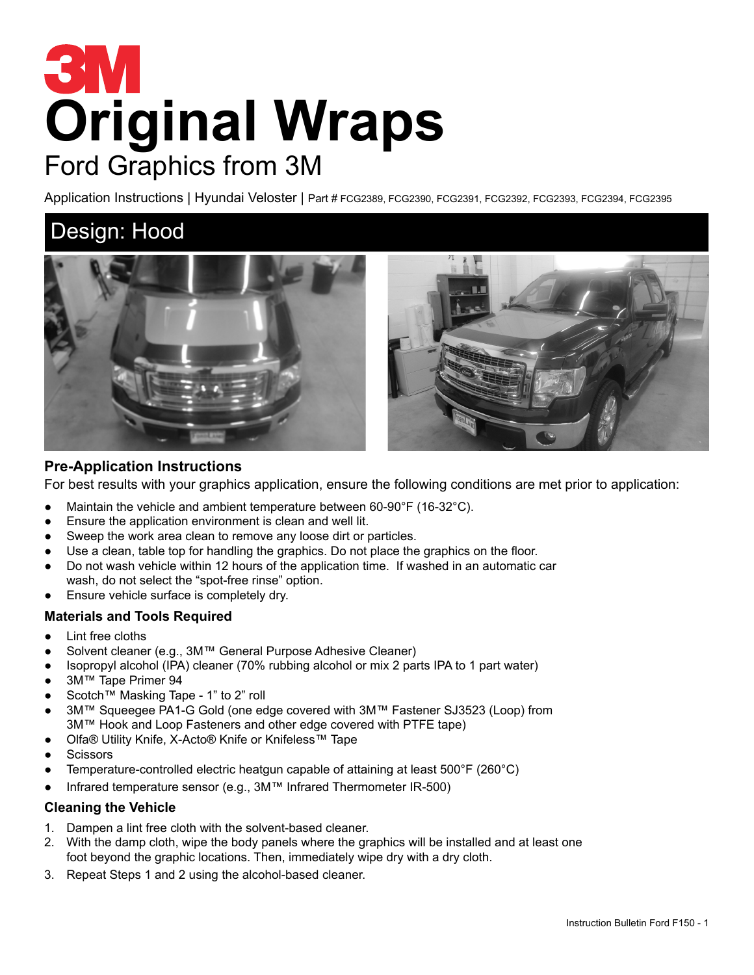# **Original Wraps** Ford Graphics from 3M

Application Instructions | Hyundai Veloster | Part # FCG2389, FCG2390, FCG2391, FCG2392, FCG2393, FCG2394, FCG2395

## Design: Hood



### **Pre-Application Instructions**

For best results with your graphics application, ensure the following conditions are met prior to application:

- Maintain the vehicle and ambient temperature between 60-90°F (16-32°C).
- Ensure the application environment is clean and well lit.
- Sweep the work area clean to remove any loose dirt or particles.
- Use a clean, table top for handling the graphics. Do not place the graphics on the floor.
- Do not wash vehicle within 12 hours of the application time. If washed in an automatic car wash, do not select the "spot-free rinse" option.
- Ensure vehicle surface is completely dry.

#### **Materials and Tools Required**

- Lint free cloths
- Solvent cleaner (e.g., 3M™ General Purpose Adhesive Cleaner)
- Isopropyl alcohol (IPA) cleaner (70% rubbing alcohol or mix 2 parts IPA to 1 part water)
- 3M™ Tape Primer 94
- Scotch™ Masking Tape 1" to 2" roll
- 3M™ Squeegee PA1-G Gold (one edge covered with 3M™ Fastener SJ3523 (Loop) from 3M™ Hook and Loop Fasteners and other edge covered with PTFE tape)
- Olfa® Utility Knife, X-Acto® Knife or Knifeless™ Tape
- **Scissors**
- Temperature-controlled electric heatgun capable of attaining at least  $500^{\circ}F(260^{\circ}C)$
- Infrared temperature sensor (e.g., 3M™ Infrared Thermometer IR-500)

#### **Cleaning the Vehicle**

- 1. Dampen a lint free cloth with the solvent-based cleaner.
- 2. With the damp cloth, wipe the body panels where the graphics will be installed and at least one foot beyond the graphic locations. Then, immediately wipe dry with a dry cloth.
- 3. Repeat Steps 1 and 2 using the alcohol-based cleaner.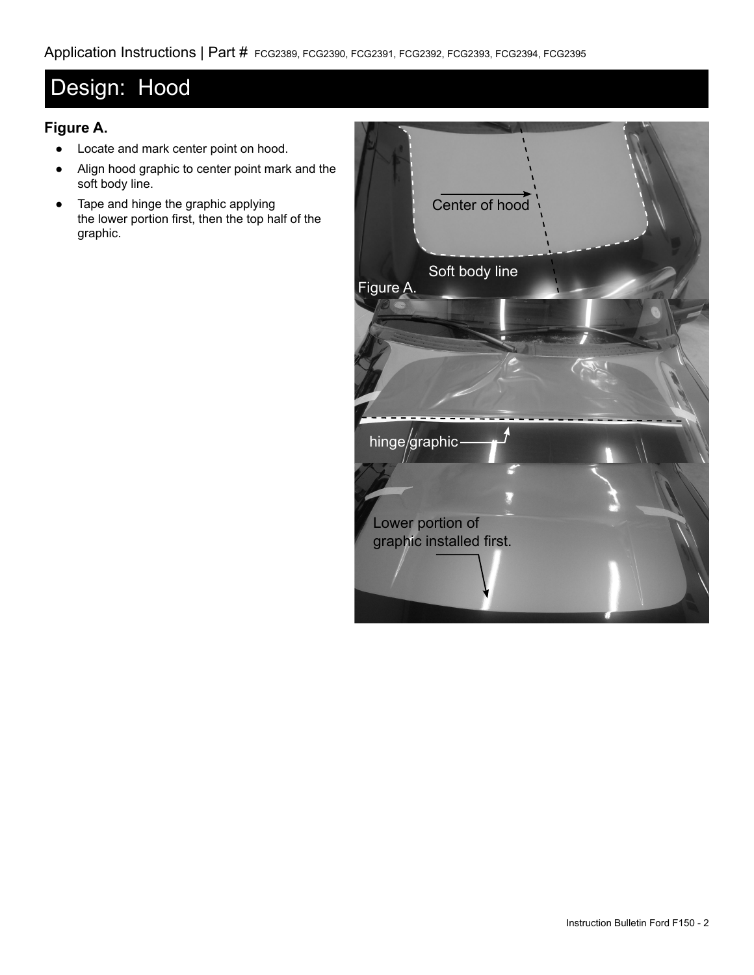## Design: Hood

## **Figure A.**

- Locate and mark center point on hood.
- Align hood graphic to center point mark and the soft body line.
- Tape and hinge the graphic applying the lower portion first, then the top half of the graphic.